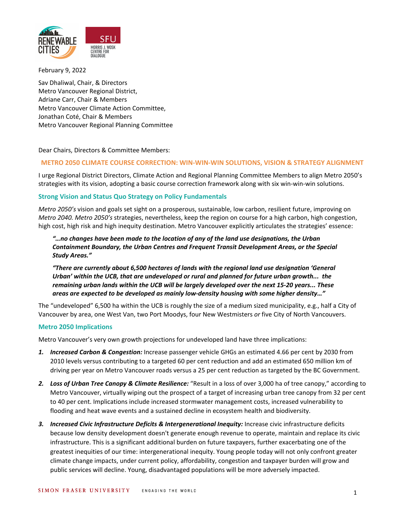

February 9, 2022

Sav Dhaliwal, Chair, & Directors Metro Vancouver Regional District, Adriane Carr, Chair & Members Metro Vancouver Climate Action Committee, Jonathan Coté, Chair & Members Metro Vancouver Regional Planning Committee

Dear Chairs, Directors & Committee Members:

## **METRO 2050 CLIMATE COURSE CORRECTION: WIN-WIN-WIN SOLUTIONS, VISION & STRATEGY ALIGNMENT**

I urge Regional District Directors, Climate Action and Regional Planning Committee Members to align Metro 2050's strategies with its vision, adopting a basic course correction framework along with six win-win-win solutions.

## **Strong Vision and Status Quo Strategy on Policy Fundamentals**

*Metro 2050's* vision and goals set sight on a prosperous, sustainable, low carbon, resilient future, improving on *Metro 2040. Metro 2050's* strategies, nevertheless, keep the region on course for a high carbon, high congestion, high cost, high risk and high inequity destination. Metro Vancouver explicitly articulates the strategies' essence:

*"…no changes have been made to the location of any of the land use designations, the Urban Containment Boundary, the Urban Centres and Frequent Transit Development Areas, or the Special Study Areas."*

*"There are currently about 6,500 hectares of lands with the regional land use designation 'General Urban' within the UCB, that are undeveloped or rural and planned for future urban growth... the remaining urban lands within the UCB will be largely developed over the next 15-20 years... These areas are expected to be developed as mainly low-density housing with some higher density…"*

The "undeveloped" 6,500 ha within the UCB is roughly the size of a medium sized municipality, e.g., half a City of Vancouver by area, one West Van, two Port Moodys, four New Westmisters *or* five City of North Vancouvers.

## **Metro 2050 Implications**

Metro Vancouver's very own growth projections for undeveloped land have three implications:

- *1. Increased Carbon & Congestion:* Increase passenger vehicle GHGs an estimated 4.66 per cent by 2030 from 2010 levels versus contributing to a targeted 60 per cent reduction and add an estimated 650 million km of driving per year on Metro Vancouver roads versus a 25 per cent reduction as targeted by the BC Government.
- *2. Loss of Urban Tree Canopy & Climate Resilience:* "Result in a loss of over 3,000 ha of tree canopy," according to Metro Vancouver, virtually wiping out the prospect of a target of increasing urban tree canopy from 32 per cent to 40 per cent. Implications include increased stormwater management costs, increased vulnerability to flooding and heat wave events and a sustained decline in ecosystem health and biodiversity.
- *3. Increased Civic Infrastructure Deficits & Intergenerational Inequity:* Increase civic infrastructure deficits because low density development doesn't generate enough revenue to operate, maintain and replace its civic infrastructure. This is a significant additional burden on future taxpayers, further exacerbating one of the greatest inequities of our time: intergenerational inequity. Young people today will not only confront greater climate change impacts, under current policy, affordability, congestion and taxpayer burden will grow and public services will decline. Young, disadvantaged populations will be more adversely impacted.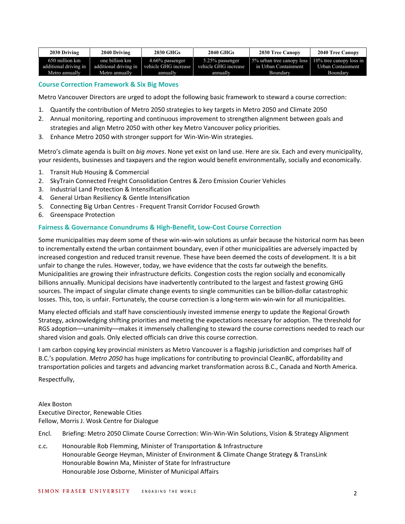| 2030 Driving          | 2040 Driving          | 2030 GHGs            | <b>2040 GHGs</b>     | <b>2030 Tree Canopy</b>                           | <b>2040 Tree Canopy</b> |
|-----------------------|-----------------------|----------------------|----------------------|---------------------------------------------------|-------------------------|
| 650 million km        | one billion km        | $4.66\%$ passenger   | 5.25% passenger      | 5% urban tree canopy loss 10% tree canopy loss in |                         |
| additional driving in | additional driving in | vehicle GHG increase | vehicle GHG increase | in Urban Containment                              | Urban Containment       |
| Metro annually        | Metro annually        | annually             | annually             | Boundary                                          | Boundary                |

## **Course Correction Framework & Six Big Moves**

Metro Vancouver Directors are urged to adopt the following basic framework to steward a course correction:

- 1. Quantify the contribution of Metro 2050 strategies to key targets in Metro 2050 and Climate 2050
- 2. Annual monitoring, reporting and continuous improvement to strengthen alignment between goals and strategies and align Metro 2050 with other key Metro Vancouver policy priorities.
- 3. Enhance Metro 2050 with stronger support for Win-Win-Win strategies.

Metro's climate agenda is built on *big moves*. None yet exist on land use. Here are six. Each and every municipality, your residents, businesses and taxpayers and the region would benefit environmentally, socially and economically.

- 1. Transit Hub Housing & Commercial
- 2. SkyTrain Connected Freight Consolidation Centres & Zero Emission Courier Vehicles
- 3. Industrial Land Protection & Intensification
- 4. General Urban Resiliency & Gentle Intensification
- 5. Connecting Big Urban Centres Frequent Transit Corridor Focused Growth
- 6. Greenspace Protection

#### **Fairness & Governance Conundrums & High-Benefit, Low-Cost Course Correction**

Some municipalities may deem some of these win-win-win solutions as unfair because the historical norm has been to incrementally extend the urban containment boundary, even if other municipalities are adversely impacted by increased congestion and reduced transit revenue. These have been deemed the costs of development. It is a bit unfair to change the rules. However, today, we have evidence that the costs far outweigh the benefits. Municipalities are growing their infrastructure deficits. Congestion costs the region socially and economically billions annually. Municipal decisions have inadvertently contributed to the largest and fastest growing GHG sources. The impact of singular climate change events to single communities can be billion-dollar catastrophic losses. This, too, is unfair. Fortunately, the course correction is a long-term win-win-win for all municipalities.

Many elected officials and staff have conscientiously invested immense energy to update the Regional Growth Strategy, acknowledging shifting priorities and meeting the expectations necessary for adoption. The threshold for RGS adoption––unanimity––makes it immensely challenging to steward the course corrections needed to reach our shared vision and goals. Only elected officials can drive this course correction.

I am carbon copying key provincial ministers as Metro Vancouver is a flagship jurisdiction and comprises half of B.C.'s population. *Metro 2050* has huge implications for contributing to provincial CleanBC, affordability and transportation policies and targets and advancing market transformation across B.C., Canada and North America.

Respectfully,

Alex Boston Executive Director, Renewable Cities Fellow, Morris J. Wosk Centre for Dialogue

Encl. Briefing: Metro 2050 Climate Course Correction: Win-Win-Win Solutions, Vision & Strategy Alignment

c.c. Honourable Rob Flemming, Minister of Transportation & Infrastructure Honourable George Heyman, Minister of Environment & Climate Change Strategy & TransLink Honourable Bowinn Ma, Minister of State for Infrastructure Honourable Jose Osborne, Minister of Municipal Affairs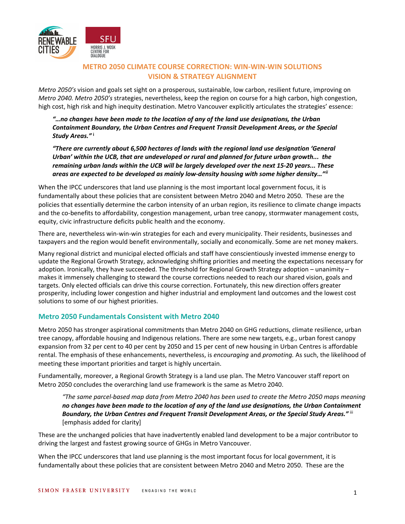

# **METRO 2050 CLIMATE COURSE CORRECTION: WIN-WIN-WIN SOLUTIONS VISION & STRATEGY ALIGNMENT**

<span id="page-2-1"></span><span id="page-2-0"></span>*Metro 2050's* vision and goals set sight on a prosperous, sustainable, low carbon, resilient future, improving on *Metro 2040. Metro 2050's* strategies, nevertheless, keep the region on course for a high carbon, high congestion, high cost, high risk and high inequity destination. Metro Vancouver explicitly articulates the strategies' essence:

*"…no changes have been made to the location of any of the land use designations, the Urban Containment Boundary, the Urban Centres and Frequent Transit Development Areas, or the Special Study Areas."* **[i](#page-2-0)**

*"There are currently about 6,500 hectares of lands with the regional land use designation 'General Urban' within the UCB, that are undeveloped or rural and planned for future urban growth... the remaining urban lands within the UCB will be largely developed over the next 15-20 years... These areas are expected to be developed as mainly low-density housing with some higher density…"[ii](#page-2-1)*

<span id="page-2-4"></span><span id="page-2-3"></span><span id="page-2-2"></span>When the IPCC underscores that land use planning is the most important local government focus, it is fundamentally about these policies that are consistent between Metro 2040 and Metro 2050. These are the policies that essentially determine the carbon intensity of an urban region, its resilience to climate change impacts and the co-benefits to affordability, congestion management, urban tree canopy, stormwater management costs, equity, civic infrastructure deficits public health and the economy.

There are, nevertheless win-win-win strategies for each and every municipality. Their residents, businesses and taxpayers and the region would benefit environmentally, socially and economically. Some are net money makers.

Many regional district and municipal elected officials and staff have conscientiously invested immense energy to update the Regional Growth Strategy, acknowledging shifting priorities and meeting the expectations necessary for adoption. Ironically, they have succeeded. The threshold for Regional Growth Strategy adoption – unanimity – makes it immensely challenging to steward the course corrections needed to reach our shared vision, goals and targets. Only elected officials can drive this course correction. Fortunately, this new direction offers greater prosperity, including lower congestion and higher industrial and employment land outcomes and the lowest cost solutions to some of our highest priorities.

## **Metro 2050 Fundamentals Consistent with Metro 2040**

<span id="page-2-5"></span>Metro 2050 has stronger aspirational commitments than Metro 2040 on GHG reductions, climate resilience, urban tree canopy, affordable housing and Indigenous relations. There are some new targets, e.g., urban forest canopy expansion from 32 per cent to 40 per cent by 2050 and 15 per cent of new housing in Urban Centres is affordable rental. The emphasis of these enhancements, nevertheless, is *encouraging* and *promoting.* As such, the likelihood of meeting these important priorities and target is highly uncertain.

<span id="page-2-7"></span><span id="page-2-6"></span>Fundamentally, moreover, a Regional Growth Strategy is a land use plan. The Metro Vancouver staff report on Metro 2050 concludes the overarching land use framework is the same as Metro 2040.

*"The same parcel-based map data from Metro 2040 has been used to create the Metro 2050 maps meaning no changes have been made to the location of any of the land use designations, the Urban Containment Boundary, the Urban Centres and Frequent Transit Development Areas, or the Special Study Areas."* [iii](#page-2-2) [emphasis added for clarity]

These are the unchanged policies that have inadvertently enabled land development to be a major contributor to driving the largest and fastest growing source of GHGs in Metro Vancouver.

When the IPCC underscores that land use planning is the most important focus for local government, it is fundamentally about these policies that are consistent between Metro 2040 and Metro 2050. These are the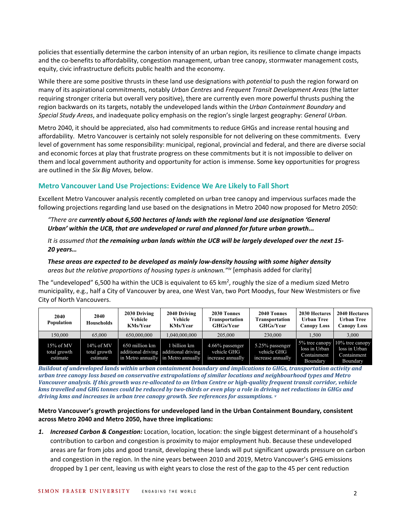policies that essentially determine the carbon intensity of an urban region, its resilience to climate change impacts and the co-benefits to affordability, congestion management, urban tree canopy, stormwater management costs, equity, civic infrastructure deficits public health and the economy.

While there are some positive thrusts in these land use designations with *potential* to push the region forward on many of its aspirational commitments, notably *Urban Centres* and *Frequent Transit Development Areas* (the latter requiring stronger criteria but overall very positive), there are currently even more powerful thrusts pushing the region backwards on its targets, notably the undeveloped lands within the *Urban Containment Boundary* and *Special Study Areas*, and inadequate policy emphasis on the region's single largest geography: *General Urban.*

Metro 2040, it should be appreciated, also had commitments to reduce GHGs and increase rental housing and affordability. Metro Vancouver is certainly not solely responsible for not delivering on these commitments. Every level of government has some responsibility: municipal, regional, provincial and federal, and there are diverse social and economic forces at play that frustrate progress on these commitments but it is not impossible to deliver on them and local government authority and opportunity for action is immense. Some key opportunities for progress are outlined in the *Six Big Moves,* below.

# **Metro Vancouver Land Use Projections: Evidence We Are Likely to Fall Short**

Excellent Metro Vancouver analysis recently completed on urban tree canopy and impervious surfaces made the following projections regarding land use based on the designations in Metro 2040 now proposed for Metro 2050:

## *"There are currently about 6,500 hectares of lands with the regional land use designation 'General Urban' within the UCB, that are undeveloped or rural and planned for future urban growth...*

*It is assumed that the remaining urban lands within the UCB will be largely developed over the next 15- 20 years…*

### *These areas are expected to be developed as mainly low-density housing with some higher density areas but the relative proportions of housing types is unknown."[iv](#page-2-3)* [emphasis added for clarity]

The "undeveloped" 6,500 ha within the UCB is equivalent to 65 km<sup>2</sup>, roughly the size of a medium sized Metro municipality, e.g., half a City of Vancouver by area, one West Van, two Port Moodys, four New Westmisters or five City of North Vancouvers.

| 2040<br><b>Population</b>                | 2040<br>Households                    | 2030 Driving<br>Vehicle<br><b>KMs/Year</b> | 2040 Driving<br>Vehicle<br><b>KMs/Year</b>                                                 | 2030 Tonnes<br>Transportation<br><b>GHGs/Year</b>   | 2040 Tonnes<br>Transportation<br><b>GHGs/Year</b>   | 2030 Hectares<br><b>Urban Tree</b><br><b>Canopy Loss</b> | 2040 Hectares<br><b>Urban Tree</b><br>Canopy Loss                                      |
|------------------------------------------|---------------------------------------|--------------------------------------------|--------------------------------------------------------------------------------------------|-----------------------------------------------------|-----------------------------------------------------|----------------------------------------------------------|----------------------------------------------------------------------------------------|
| 150,000                                  | 65,000                                | 650,000,000                                | 1,040,000,000                                                                              | 205,000                                             | 230,000                                             | 1.500                                                    | 3.000                                                                                  |
| $15\%$ of MV<br>total growth<br>estimate | 14% of MV<br>total growth<br>estimate | 650 million km                             | billion km<br>additional driving additional driving<br>in Metro annually in Metro annually | 4.66% passenger<br>vehicle GHG<br>increase annually | 5.25% passenger<br>vehicle GHG<br>increase annually | loss in Urban<br>Containment<br>Boundary                 | 5% tree can opy $\sqrt{10\%}$ tree can opy<br>loss in Urban<br>Containment<br>Boundary |

*Buildout of undeveloped lands within urban containment boundary and implications to GHGs, transportation activity and urban tree canopy loss based on conservative extrapolations of similar locations and neighbourhood types and Metro Vancouver analysis. If this growth was re-allocated to an Urban Centre or high-quality frequent transit corridor, vehicle kms travelled and GHG tonnes could be reduced by two-thirds or even play a role in driving net reductions in GHGs and driving kms and increases in urban tree canopy growth. See references for assumptions. [v](#page-2-4)*

## **Metro Vancouver's growth projections for undeveloped land in the Urban Containment Boundary, consistent across Metro 2040 and Metro 2050, have three implications:**

*1. Increased Carbon & Congestion:* Location, location, location: the single biggest determinant of a household's contribution to carbon and congestion is proximity to major employment hub. Because these undeveloped areas are far from jobs and good transit, developing these lands will put significant upwards pressure on carbon and congestion in the region. In the nine years between 2010 and 2019, Metro Vancouver's GHG emissions dropped by 1 per cent, leaving us with eight years to close the rest of the gap to the 45 per cent reduction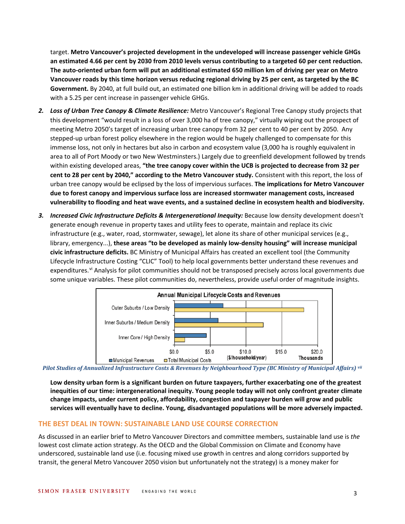target. **Metro Vancouver's projected development in the undeveloped will increase passenger vehicle GHGs an estimated 4.66 per cent by 2030 from 2010 levels versus contributing to a targeted 60 per cent reduction. The auto-oriented urban form will put an additional estimated 650 million km of driving per year on Metro Vancouver roads by this time horizon versus reducing regional driving by 25 per cent, as targeted by the BC Government.** By 2040, at full build out, an estimated one billion km in additional driving will be added to roads with a 5.25 per cent increase in passenger vehicle GHGs.

- *2. Loss of Urban Tree Canopy & Climate Resilience:* Metro Vancouver's Regional Tree Canopy study projects that this development "would result in a loss of over 3,000 ha of tree canopy," virtually wiping out the prospect of meeting Metro 2050's target of increasing urban tree canopy from 32 per cent to 40 per cent by 2050. Any stepped-up urban forest policy elsewhere in the region would be hugely challenged to compensate for this immense loss, not only in hectares but also in carbon and ecosystem value (3,000 ha is roughly equivalent in area to all of Port Moody or two New Westminsters.) Largely due to greenfield development followed by trends within existing developed areas, **"the tree canopy cover within the UCB is projected to decrease from 32 per cent to 28 per cent by 2040," according to the Metro Vancouver study.** Consistent with this report, the loss of urban tree canopy would be eclipsed by the loss of impervious surfaces. **The implications for Metro Vancouver due to forest canopy and impervious surface loss are increased stormwater management costs, increased vulnerability to flooding and heat wave events, and a sustained decline in ecosystem health and biodiversity.**
- *3. Increased Civic Infrastructure Deficits & Intergenerational Inequity:* Because low density development doesn't generate enough revenue in property taxes and utility fees to operate, maintain and replace its civic infrastructure (e.g., water, road, stormwater, sewage), let alone its share of other municipal services (e.g., library, emergency...), **these areas "to be developed as mainly low-density housing" will increase municipal civic infrastructure deficits.** BC Ministry of Municipal Affairs has created an excellent tool (the Community Lifecycle Infrastructure Costing "CLIC" Tool) to help local governments better understand these revenues and expenditures.<sup>[vi](#page-2-5)</sup> Analysis for pilot communities should not be transposed precisely across local governments due some unique variables. These pilot communities do, nevertheless, provide useful order of magnitude insights.



*Pilot Studies of Annualized Infrastructure Costs & Revenues by Neighbourhood Type (BC Ministry of Municipal Affairs) [vii](#page-2-6)*

**Low density urban form is a significant burden on future taxpayers, further exacerbating one of the greatest inequities of our time: intergenerational inequity. Young people today will not only confront greater climate change impacts, under current policy, affordability, congestion and taxpayer burden will grow and public services will eventually have to decline. Young, disadvantaged populations will be more adversely impacted.**

## **THE BEST DEAL IN TOWN: SUSTAINABLE LAND USE COURSE CORRECTION**

As discussed in an earlier brief to Metro Vancouver Directors and committee members, sustainable land use is *the*  lowest cost climate action strategy. As the OECD and the Global Commission on Climate and Economy have underscored, sustainable land use (i.e. focusing mixed use growth in centres and along corridors supported by transit, the general Metro Vancouver 2050 vision but unfortunately not the strategy) is a money maker for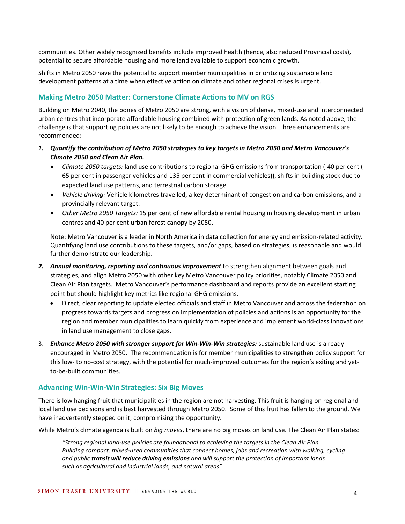communities. Other widely recognized benefits include improved health (hence, also reduced Provincial costs), potential to secure affordable housing and more land available to support economic growth.

Shifts in Metro 2050 have the potential to support member municipalities in prioritizing sustainable land development patterns at a time when effective action on climate and other regional crises is urgent.

## **Making Metro 2050 Matter: Cornerstone Climate Actions to MV on RGS**

Building on Metro 2040, the bones of Metro 2050 are strong, with a vision of dense, mixed-use and interconnected urban centres that incorporate affordable housing combined with protection of green lands. As noted above, the challenge is that supporting policies are not likely to be enough to achieve the vision. Three enhancements are recommended:

- *1. Quantify the contribution of Metro 2050 strategies to key targets in Metro 2050 and Metro Vancouver's Climate 2050 and Clean Air Plan.*
	- *Climate 2050 targets:* land use contributions to regional GHG emissions from transportation (-40 per cent (- 65 per cent in passenger vehicles and 135 per cent in commercial vehicles)), shifts in building stock due to expected land use patterns, and terrestrial carbon storage.
	- *Vehicle driving:* Vehicle kilometres travelled, a key determinant of congestion and carbon emissions, and a provincially relevant target.
	- *Other Metro 2050 Targets:* 15 per cent of new affordable rental housing in housing development in urban centres and 40 per cent urban forest canopy by 2050.

Note: Metro Vancouver is a leader in North America in data collection for energy and emission-related activity. Quantifying land use contributions to these targets, and/or gaps, based on strategies, is reasonable and would further demonstrate our leadership.

- 2. Annual monitoring, reporting and continuous improvement to strengthen alignment between goals and strategies, and align Metro 2050 with other key Metro Vancouver policy priorities, notably Climate 2050 and Clean Air Plan targets. Metro Vancouver's performance dashboard and reports provide an excellent starting point but should highlight key metrics like regional GHG emissions.
	- Direct, clear reporting to update elected officials and staff in Metro Vancouver and across the federation on progress towards targets and progress on implementation of policies and actions is an opportunity for the region and member municipalities to learn quickly from experience and implement world-class innovations in land use management to close gaps.
- 3. *Enhance Metro 2050 with stronger support for Win-Win-Win strategies:* sustainable land use is already encouraged in Metro 2050. The recommendation is for member municipalities to strengthen policy support for this low- to no-cost strategy, with the potential for much-improved outcomes for the region's exiting and yetto-be-built communities.

## **Advancing Win-Win-Win Strategies: Six Big Moves**

There is low hanging fruit that municipalities in the region are not harvesting. This fruit is hanging on regional and local land use decisions and is best harvested through Metro 2050. Some of this fruit has fallen to the ground. We have inadvertently stepped on it, compromising the opportunity.

While Metro's climate agenda is built on *big moves*, there are no big moves on land use. The Clean Air Plan states:

*"Strong regional land-use policies are foundational to achieving the targets in the Clean Air Plan. Building compact, mixed-used communities that connect homes, jobs and recreation with walking, cycling and public transit will reduce driving emissions and will support the protection of important lands such as agricultural and industrial lands, and natural areas"*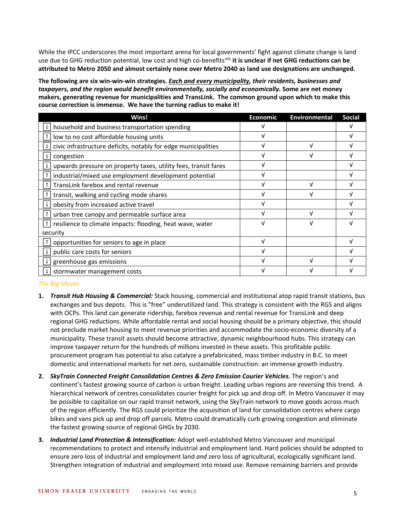While the IPCC underscores the most important arena for local governments' fight against climate change is land use due to GHG reduction potential, low cost and high co-benefits[viii](#page-2-7), **it is unclear if net GHG reductions can be attributed to Metro 2050 and almost certainly none over Metro 2040 as land use designations are unchanged.**

**The following are six win-win-win strategies.** *Each and every municipality, their residents, businesses and taxpayers, and the region would benefit environmentally, socially and economically.* **Some are net money makers, generating revenue for municipalities and TransLink. The common ground upon which to make this course correction is immense. We have the turning radius to make it!**

| Wins!                                                           | <b>Economic</b> | <b>Environmental</b> | <b>Social</b> |
|-----------------------------------------------------------------|-----------------|----------------------|---------------|
| household and business transportation spending                  |                 |                      |               |
| low to no cost affordable housing units                         | ν               |                      |               |
| civic infrastructure deficits, notably for edge municipalities  |                 | v                    |               |
| congestion                                                      |                 | V                    |               |
| upwards pressure on property taxes, utility fees, transit fares |                 |                      |               |
| industrial/mixed use employment development potential           | ν               |                      |               |
| TransLink farebox and rental revenue                            |                 | νI                   |               |
| transit, walking and cycling mode shares                        |                 | V                    |               |
| obesity from increased active travel                            |                 |                      |               |
| urban tree canopy and permeable surface area                    |                 | V                    |               |
| resilience to climate impacts: flooding, heat wave, water       | ٦J              | V                    |               |
| security                                                        |                 |                      |               |
| opportunities for seniors to age in place                       | ٦I              |                      |               |
| public care costs for seniors                                   |                 |                      |               |
| greenhouse gas emissions                                        |                 |                      |               |
| stormwater management costs                                     |                 |                      |               |

*The Big Moves*

- **1.** *Transit Hub Housing & Commercial:* Stack housing, commercial and institutional atop rapid transit stations, bus exchanges and bus depots. This is "free" underutilized land. This strategy is consistent with the RGS and aligns with OCPs. This land can generate ridership, farebox revenue and rental revenue for TransLink and deep regional GHG reductions. While affordable rental and social housing should be a primary objective, this should not preclude market housing to meet revenue priorities and accommodate the socio-economic diversity of a municipality. These transit assets should become attractive, dynamic neighbourhood hubs. This strategy can improve taxpayer return for the hundreds of millions invested in these assets. This profitable public procurement program has potential to also catalyze a prefabricated, mass timber industry in B.C. to meet domestic and international markets for net zero, sustainable construction: an immense growth industry.
- **2.** *SkyTrain Connected Freight Consolidation Centres & Zero Emission Courier Vehicles.* The region's and continent's fastest growing source of carbon is urban freight. Leading urban regions are reversing this trend. A hierarchical network of centres consolidates courier freight for pick up and drop off. In Metro Vancouver it may be possible to capitalize on our rapid transit network, using the SkyTrain network to move goods across much of the region efficiently. The RGS could prioritize the acquisition of land for consolidation centres where cargo bikes and vans pick up and drop off parcels. Metro could dramatically curb growing congestion and eliminate the fastest growing source of regional GHGs by 2030.
- **3.** *Industrial Land Protection & Intensification:* Adopt well-established Metro Vancouver and municipal recommendations to protect and intensify industrial and employment land. Hard policies should be adopted to ensure zero loss of industrial and employment land *and* zero loss of agricultural, ecologically significant land. Strengthen integration of industrial and employment into mixed use. Remove remaining barriers and provide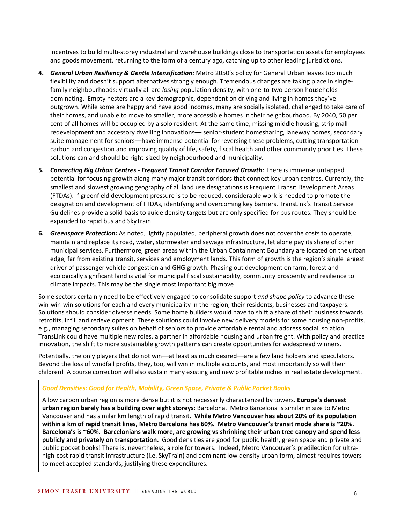incentives to build multi-storey industrial and warehouse buildings close to transportation assets for employees and goods movement, returning to the form of a century ago, catching up to other leading jurisdictions.

- **4.** *General Urban Resiliency & Gentle Intensification:* Metro 2050's policy for General Urban leaves too much flexibility and doesn't support alternatives strongly enough. Tremendous changes are taking place in singlefamily neighbourhoods: virtually all are *losing* population density, with one-to-two person households dominating. Empty nesters are a key demographic, dependent on driving and living in homes they've outgrown. While some are happy and have good incomes, many are socially isolated, challenged to take care of their homes, and unable to move to smaller, more accessible homes in their neighbourhood. By 2040, 50 per cent of all homes will be occupied by a solo resident. At the same time, missing middle housing, strip mall redevelopment and accessory dwelling innovations— senior-student homesharing, laneway homes, secondary suite management for seniors––have immense potential for reversing these problems, cutting transportation carbon and congestion and improving quality of life, safety, fiscal health and other community priorities. These solutions can and should be right-sized by neighbourhood and municipality.
- **5.** *Connecting Big Urban Centres - Frequent Transit Corridor Focused Growth:* There is immense untapped potential for focusing growth along many major transit corridors that connect key urban centres. Currently, the smallest and slowest growing geography of all land use designations is Frequent Transit Development Areas (FTDAs). If greenfield development pressure is to be reduced, considerable work is needed to promote the designation and development of FTDAs, identifying and overcoming key barriers. TransLink's Transit Service Guidelines provide a solid basis to guide density targets but are only specified for bus routes. They should be expanded to rapid bus and SkyTrain.
- **6.** *Greenspace Protection:* As noted, lightly populated, peripheral growth does not cover the costs to operate, maintain and replace its road, water, stormwater and sewage infrastructure, let alone pay its share of other municipal services. Furthermore, green areas within the Urban Containment Boundary are located on the urban edge, far from existing transit, services and employment lands. This form of growth is the region's single largest driver of passenger vehicle congestion and GHG growth. Phasing out development on farm, forest and ecologically significant land is vital for municipal fiscal sustainability, community prosperity and resilience to climate impacts. This may be the single most important big move!

Some sectors certainly need to be effectively engaged to consolidate support *and shape policy* to advance these win-win-win solutions for each and every municipality in the region, their residents, businesses and taxpayers. Solutions should consider diverse needs. Some home builders would have to shift a share of their business towards retrofits, infill and redevelopment. These solutions could involve new delivery models for some housing non-profits, e.g., managing secondary suites on behalf of seniors to provide affordable rental and address social isolation. TransLink could have multiple new roles, a partner in affordable housing and urban freight. With policy and practice innovation, the shift to more sustainable growth patterns can create opportunities for widespread winners.

Potentially, the only players that do not win—at least as much desired—are a few land holders and speculators. Beyond the loss of windfall profits, they, too, will win in multiple accounts, and most importantly so will their children! A course correction will also sustain many existing and new profitable niches in real estate development.

### *Good Densities: Good for Health, Mobility, Green Space, Private & Public Pocket Books*

A low carbon urban region is more dense but it is not necessarily characterized by towers. **Europe's densest urban region barely has a building over eight storeys:** Barcelona. Metro Barcelona is similar in size to Metro Vancouver and has similar km length of rapid transit. **While Metro Vancouver has about 20% of its population within a km of rapid transit lines, Metro Barcelona has 60%. Metro Vancouver's transit mode share is ~20%. Barcelona's is ~60%. Barcelonians walk more, are growing vs shrinking their urban tree canopy and spend less publicly and privately on transportation.** Good densities are good for public health, green space and private and public pocket books! There is, nevertheless, a role for towers. Indeed, Metro Vancouver's predilection for ultrahigh-cost rapid transit infrastructure (i.e. SkyTrain) and dominant low density urban form, almost requires towers to meet accepted standards, justifying these expenditures.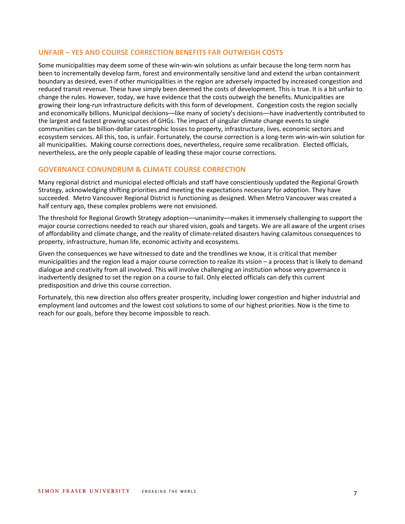## **UNFAIR – YES AND COURSE CORRECTION BENEFITS FAR OUTWEIGH COSTS**

Some municipalities may deem some of these win-win-win solutions as unfair because the long-term norm has been to incrementally develop farm, forest and environmentally sensitive land and extend the urban containment boundary as desired, even if other municipalities in the region are adversely impacted by increased congestion and reduced transit revenue. These have simply been deemed the costs of development. This is true. It is a bit unfair to change the rules. However, today, we have evidence that the costs outweigh the benefits. Municipalities are growing their long-run infrastructure deficits with this form of development. Congestion costs the region socially and economically billions. Municipal decisions––like many of society's decisions––have inadvertently contributed to the largest and fastest growing sources of GHGs. The impact of singular climate change events to single communities can be billion-dollar catastrophic losses to property, infrastructure, lives, economic sectors and ecosystem services. All this, too, is unfair. Fortunately, the course correction is a long-term win-win-win solution for all municipalities. Making course corrections does, nevertheless, require some recalibration. Elected officials, nevertheless, are the only people capable of leading these major course corrections.

## **GOVERNANCE CONUNDRUM & CLIMATE COURSE CORRECTION**

Many regional district and municipal elected officials and staff have conscientiously updated the Regional Growth Strategy, acknowledging shifting priorities and meeting the expectations necessary for adoption. They have succeeded. Metro Vancouver Regional District is functioning as designed. When Metro Vancouver was created a half century ago, these complex problems were not envisioned.

The threshold for Regional Growth Strategy adoption––unanimity––makes it immensely challenging to support the major course corrections needed to reach our shared vision, goals and targets. We are all aware of the urgent crises of affordability and climate change, and the reality of climate-related disasters having calamitous consequences to property, infrastructure, human life, economic activity and ecosystems.

Given the consequences we have witnessed to date and the trendlines we know, it is critical that member municipalities and the region lead a major course correction to realize its vision – a process that is likely to demand dialogue and creativity from all involved. This will involve challenging an institution whose very governance is inadvertently designed to set the region on a course to fail. Only elected officials can defy this current predisposition and drive this course correction.

Fortunately, this new direction also offers greater prosperity, including lower congestion and higher industrial and employment land outcomes and the lowest cost solutions to some of our highest priorities. Now is the time to reach for our goals, before they become impossible to reach.